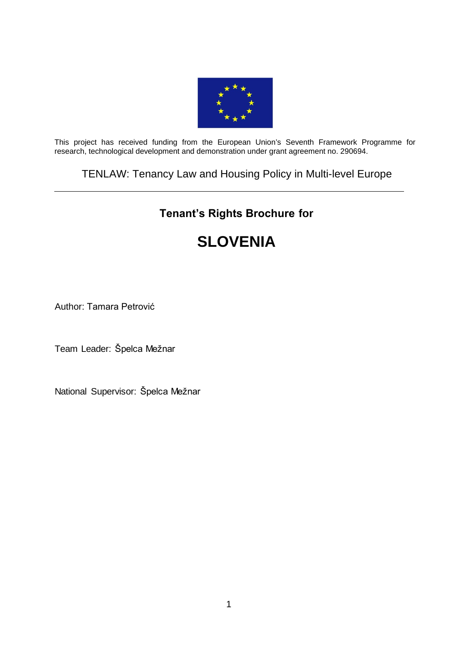

This project has received funding from the European Union's Seventh Framework Programme for research, technological development and demonstration under grant agreement no. 290694.

### TENLAW: Tenancy Law and Housing Policy in Multi-level Europe

## **Tenant's Rights Brochure for**

# **[SLOVENI](https://webgate.ec.europa.eu/sesam-fp7/deliverables.do?action=view&sessionId=TBM1SWtG0CVy1ZcGHjphqtn8G8y48z0HWpBnxYCj6J22jlDVsHkp%21794754826%211389784548214&selectedId=1251093&version=2.0&idType=cpm)A**

Author: Tamara Petrović

Team Leader: Špelca Mežnar

National Supervisor: Špelca Mežnar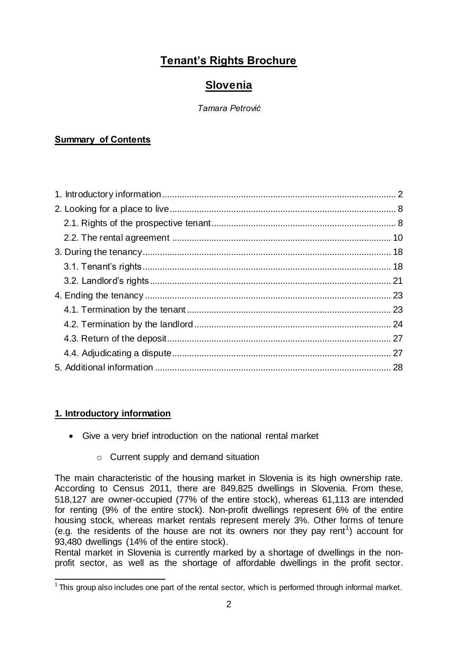## **Tenant's Rights Brochure**

## **Slovenia**

#### *Tamara Petrović*

#### **Summary of Contents**

#### <span id="page-1-0"></span>**1. Introductory information**

- Give a very brief introduction on the national rental market
	- o Current supply and demand situation

The main characteristic of the housing market in Slovenia is its high ownership rate. According to Census 2011, there are 849,825 dwellings in Slovenia. From these, 518,127 are owner-occupied (77% of the entire stock), whereas 61,113 are intended for renting (9% of the entire stock). Non-profit dwellings represent 6% of the entire housing stock, whereas market rentals represent merely 3%. Other forms of tenure (e.g. the residents of the house are not its owners nor they pay rent<sup>1</sup>) account for 93,480 dwellings (14% of the entire stock).

Rental market in Slovenia is currently marked by a shortage of dwellings in the nonprofit sector, as well as the shortage of affordable dwellings in the profit sector.

 1 This group also includes one part of the rental sector, which is performed through informal market.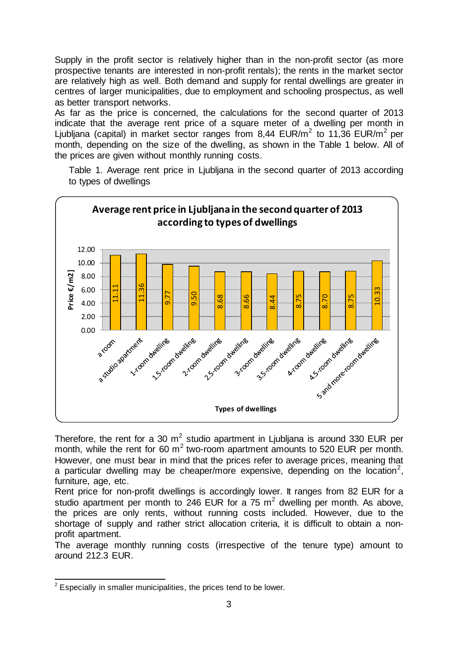Supply in the profit sector is relatively higher than in the non-profit sector (as more prospective tenants are interested in non-profit rentals); the rents in the market sector are relatively high as well. Both demand and supply for rental dwellings are greater in centres of larger municipalities, due to employment and schooling prospectus, as well as better transport networks.

As far as the price is concerned, the calculations for the second quarter of 2013 indicate that the average rent price of a square meter of a dwelling per month in Ljubljana (capital) in market sector ranges from 8,44 EUR/m<sup>2</sup> to 11,36 EUR/m<sup>2</sup> per month, depending on the size of the dwelling, as shown in the Table 1 below. All of the prices are given without monthly running costs.



Table 1. Average rent price in Ljubljana in the second quarter of 2013 according to types of dwellings

Therefore, the rent for a 30  $m^2$  studio apartment in Ljubljana is around 330 EUR per month, while the rent for 60  $m^2$  two-room apartment amounts to 520 EUR per month. However, one must bear in mind that the prices refer to average prices, meaning that a particular dwelling may be cheaper/more expensive, depending on the location<sup>2</sup>, furniture, age, etc.

Rent price for non-profit dwellings is accordingly lower. It ranges from 82 EUR for a studio apartment per month to 246 EUR for a  $75 \text{ m}^2$  dwelling per month. As above, the prices are only rents, without running costs included. However, due to the shortage of supply and rather strict allocation criteria, it is difficult to obtain a nonprofit apartment.

The average monthly running costs (irrespective of the tenure type) amount to around 212.3 EUR.

<sup>&</sup>lt;sup>2</sup> Especially in smaller municipalities, the prices tend to be lower.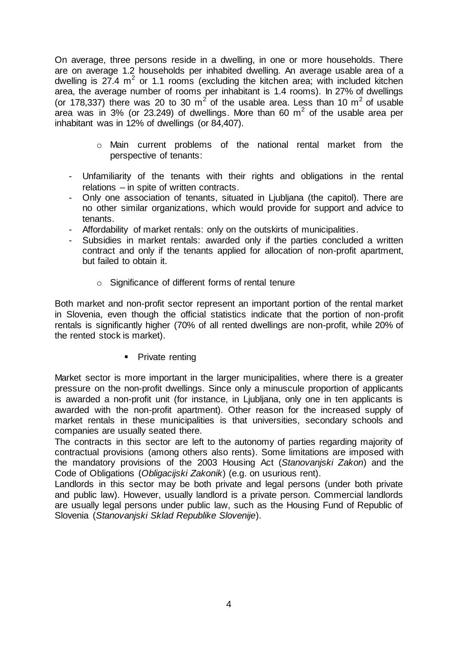On average, three persons reside in a dwelling, in one or more households. There are on average 1.2 households per inhabited dwelling. An average usable area of a dwelling is  $27.4 \text{ m}^2$  or 1.1 rooms (excluding the kitchen area; with included kitchen area, the average number of rooms per inhabitant is 1.4 rooms). In 27% of dwellings (or 178,337) there was 20 to 30  $m^2$  of the usable area. Less than 10  $m^2$  of usable area was in 3% (or 23.249) of dwellings. More than 60  $m^2$  of the usable area per inhabitant was in 12% of dwellings (or 84,407).

- o Main current problems of the national rental market from the perspective of tenants:
- Unfamiliarity of the tenants with their rights and obligations in the rental relations – in spite of written contracts.
- Only one association of tenants, situated in Ljubljana (the capitol). There are no other similar organizations, which would provide for support and advice to tenants.
- Affordability of market rentals: only on the outskirts of municipalities.
- Subsidies in market rentals: awarded only if the parties concluded a written contract and only if the tenants applied for allocation of non-profit apartment, but failed to obtain it.
	- o Significance of different forms of rental tenure

Both market and non-profit sector represent an important portion of the rental market in Slovenia, even though the official statistics indicate that the portion of non-profit rentals is significantly higher (70% of all rented dwellings are non-profit, while 20% of the rented stock is market).

• Private renting

Market sector is more important in the larger municipalities, where there is a greater pressure on the non-profit dwellings. Since only a minuscule proportion of applicants is awarded a non-profit unit (for instance, in Ljubljana, only one in ten applicants is awarded with the non-profit apartment). Other reason for the increased supply of market rentals in these municipalities is that universities, secondary schools and companies are usually seated there.

The contracts in this sector are left to the autonomy of parties regarding majority of contractual provisions (among others also rents). Some limitations are imposed with the mandatory provisions of the 2003 Housing Act (*Stanovanjski Zakon*) and the Code of Obligations (*Obligacijski Zakonik*) (e.g. on usurious rent).

Landlords in this sector may be both private and legal persons (under both private and public law). However, usually landlord is a private person. Commercial landlords are usually legal persons under public law, such as the Housing Fund of Republic of Slovenia (*Stanovanjski Sklad Republike Slovenije*).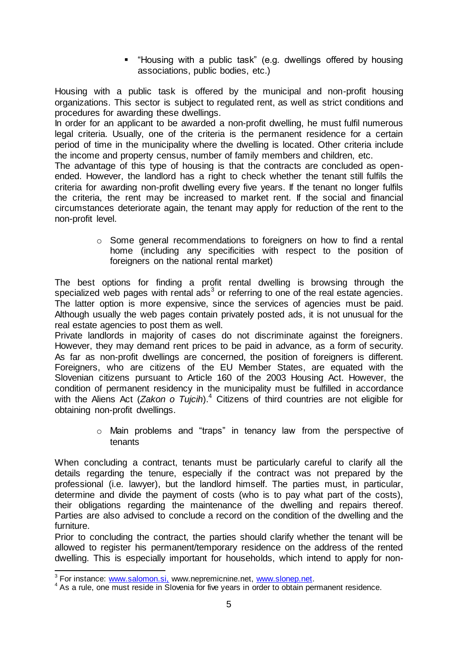"Housing with a public task" (e.g. dwellings offered by housing associations, public bodies, etc.)

Housing with a public task is offered by the municipal and non-profit housing organizations. This sector is subject to regulated rent, as well as strict conditions and procedures for awarding these dwellings.

In order for an applicant to be awarded a non-profit dwelling, he must fulfil numerous legal criteria. Usually, one of the criteria is the permanent residence for a certain period of time in the municipality where the dwelling is located. Other criteria include the income and property census, number of family members and children, etc.

The advantage of this type of housing is that the contracts are concluded as openended. However, the landlord has a right to check whether the tenant still fulfils the criteria for awarding non-profit dwelling every five years. If the tenant no longer fulfils the criteria, the rent may be increased to market rent. If the social and financial circumstances deteriorate again, the tenant may apply for reduction of the rent to the non-profit level.

> o Some general recommendations to foreigners on how to find a rental home (including any specificities with respect to the position of foreigners on the national rental market)

The best options for finding a profit rental dwelling is browsing through the specialized web pages with rental  $\text{ads}^3$  or referring to one of the real estate agencies. The latter option is more expensive, since the services of agencies must be paid. Although usually the web pages contain privately posted ads, it is not unusual for the real estate agencies to post them as well.

Private landlords in majority of cases do not discriminate against the foreigners. However, they may demand rent prices to be paid in advance, as a form of security. As far as non-profit dwellings are concerned, the position of foreigners is different. Foreigners, who are citizens of the EU Member States, are equated with the Slovenian citizens pursuant to Article 160 of the 2003 Housing Act. However, the condition of permanent residency in the municipality must be fulfilled in accordance with the Aliens Act (*Zakon o Tujcih*). <sup>4</sup> Citizens of third countries are not eligible for obtaining non-profit dwellings.

> o Main problems and "traps" in tenancy law from the perspective of tenants

When concluding a contract, tenants must be particularly careful to clarify all the details regarding the tenure, especially if the contract was not prepared by the professional (i.e. lawyer), but the landlord himself. The parties must, in particular, determine and divide the payment of costs (who is to pay what part of the costs), their obligations regarding the maintenance of the dwelling and repairs thereof. Parties are also advised to conclude a record on the condition of the dwelling and the furniture.

Prior to concluding the contract, the parties should clarify whether the tenant will be allowed to register his permanent/temporary residence on the address of the rented dwelling. This is especially important for households, which intend to apply for non-

 3 For instance[: www.salomon.si](http://www.salomon.si,/), www.nepremicnine.n[et, www.slonep.n](http://www.slonep.net/)et.

<sup>&</sup>lt;sup>4</sup> As a rule, one must reside in Slovenia for five years in order to obtain permanent residence.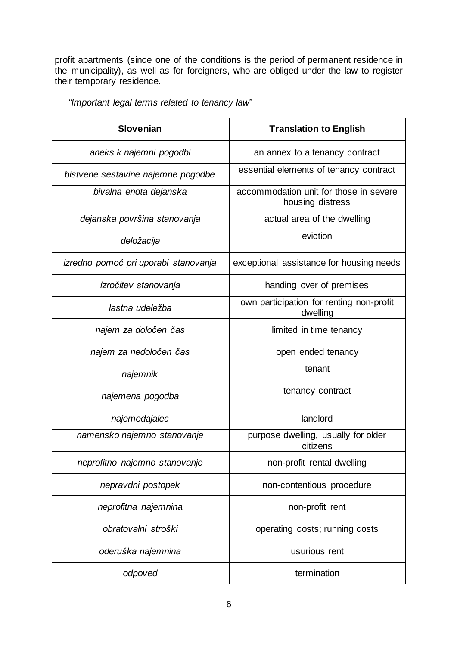profit apartments (since one of the conditions is the period of permanent residence in the municipality), as well as for foreigners, who are obliged under the law to register their temporary residence.

| <b>Slovenian</b>                     | <b>Translation to English</b>                              |
|--------------------------------------|------------------------------------------------------------|
| aneks k najemni pogodbi              | an annex to a tenancy contract                             |
| bistvene sestavine najemne pogodbe   | essential elements of tenancy contract                     |
| bivalna enota dejanska               | accommodation unit for those in severe<br>housing distress |
| dejanska površina stanovanja         | actual area of the dwelling                                |
| deložacija                           | eviction                                                   |
| izredno pomoč pri uporabi stanovanja | exceptional assistance for housing needs                   |
| izročitev stanovanja                 | handing over of premises                                   |
| lastna udeležba                      | own participation for renting non-profit<br>dwelling       |
| najem za določen čas                 | limited in time tenancy                                    |
| najem za nedoločen čas               | open ended tenancy                                         |
| najemnik                             | tenant                                                     |
| najemena pogodba                     | tenancy contract                                           |
| najemodajalec                        | landlord                                                   |
| namensko najemno stanovanje          | purpose dwelling, usually for older<br>citizens            |
| neprofitno najemno stanovanje        | non-profit rental dwelling                                 |
| nepravdni postopek                   | non-contentious procedure                                  |
| neprofitna najemnina                 | non-profit rent                                            |
| obratovalni stroški                  | operating costs; running costs                             |
| oderuška najemnina                   | usurious rent                                              |
| odpoved                              | termination                                                |

*"Important legal terms related to tenancy law"*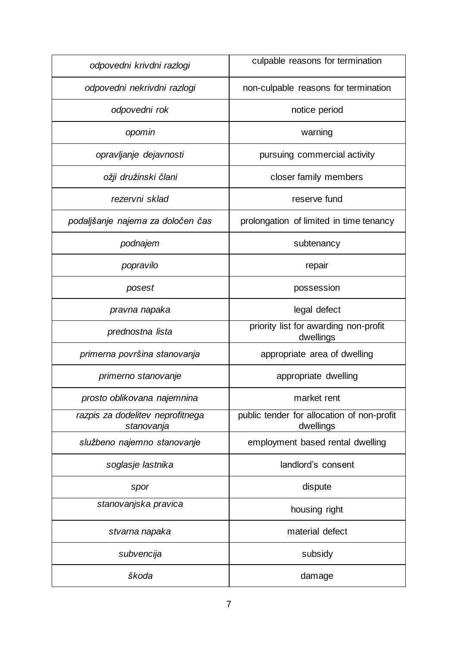| odpovedni krivdni razlogi                      | culpable reasons for termination                        |
|------------------------------------------------|---------------------------------------------------------|
| odpovedni nekrivdni razlogi                    | non-culpable reasons for termination                    |
| odpovedni rok                                  | notice period                                           |
| opomin                                         | warning                                                 |
| opravljanje dejavnosti                         | pursuing commercial activity                            |
| ožji družinski člani                           | closer family members                                   |
| rezervni sklad                                 | reserve fund                                            |
| podaljšanje najema za določen čas              | prolongation of limited in time tenancy                 |
| podnajem                                       | subtenancy                                              |
| popravilo                                      | repair                                                  |
| posest                                         | possession                                              |
| pravna napaka                                  | legal defect                                            |
| prednostna lista                               | priority list for awarding non-profit<br>dwellings      |
|                                                |                                                         |
| primerna površina stanovanja                   | appropriate area of dwelling                            |
| primerno stanovanje                            | appropriate dwelling                                    |
| prosto oblikovana najemnina                    | market rent                                             |
| razpis za dodelitev neprofitnega<br>stanovanja | public tender for allocation of non-profit<br>dwellings |
| službeno najemno stanovanje                    | employment based rental dwelling                        |
| soglasje lastnika                              | landlord's consent                                      |
| spor                                           | dispute                                                 |
| stanovanjska pravica                           | housing right                                           |
| stvarna napaka                                 | material defect                                         |
| subvencija                                     | subsidy                                                 |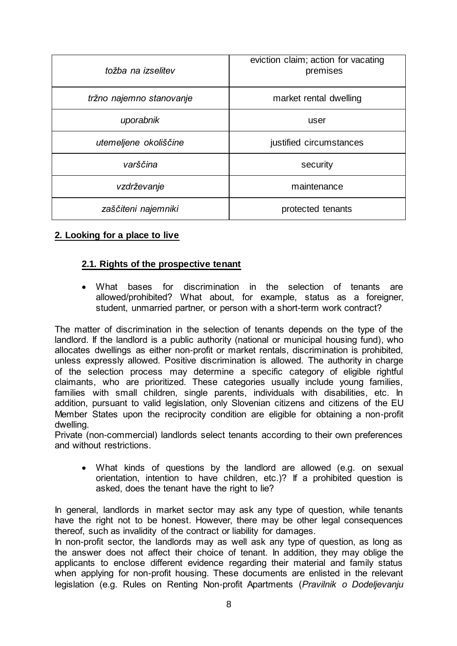| tožba na izselitev       | eviction claim; action for vacating<br>premises |
|--------------------------|-------------------------------------------------|
| tržno najemno stanovanje | market rental dwelling                          |
| uporabnik                | user                                            |
| utemeljene okoliščine    | justified circumstances                         |
| varščina                 | security                                        |
| vzdrževanje              | maintenance                                     |
| zaščiteni najemniki      | protected tenants                               |

#### <span id="page-7-0"></span>**2. Looking for a place to live**

#### <span id="page-7-1"></span>**2.1. Rights of the prospective tenant**

 What bases for discrimination in the selection of tenants are allowed/prohibited? What about, for example, status as a foreigner, student, unmarried partner, or person with a short-term work contract?

The matter of discrimination in the selection of tenants depends on the type of the landlord. If the landlord is a public authority (national or municipal housing fund), who allocates dwellings as either non-profit or market rentals, discrimination is prohibited, unless expressly allowed. Positive discrimination is allowed. The authority in charge of the selection process may determine a specific category of eligible rightful claimants, who are prioritized. These categories usually include young families, families with small children, single parents, individuals with disabilities, etc. In addition, pursuant to valid legislation, only Slovenian citizens and citizens of the EU Member States upon the reciprocity condition are eligible for obtaining a non-profit dwelling.

Private (non-commercial) landlords select tenants according to their own preferences and without restrictions.

 What kinds of questions by the landlord are allowed (e.g. on sexual orientation, intention to have children, etc.)? If a prohibited question is asked, does the tenant have the right to lie?

In general, landlords in market sector may ask any type of question, while tenants have the right not to be honest. However, there may be other legal consequences thereof, such as invalidity of the contract or liability for damages.

In non-profit sector, the landlords may as well ask any type of question, as long as the answer does not affect their choice of tenant. In addition, they may oblige the applicants to enclose different evidence regarding their material and family status when applying for non-profit housing. These documents are enlisted in the relevant legislation (e.g. Rules on Renting Non-profit Apartments (*Pravilnik o Dodeljevanju*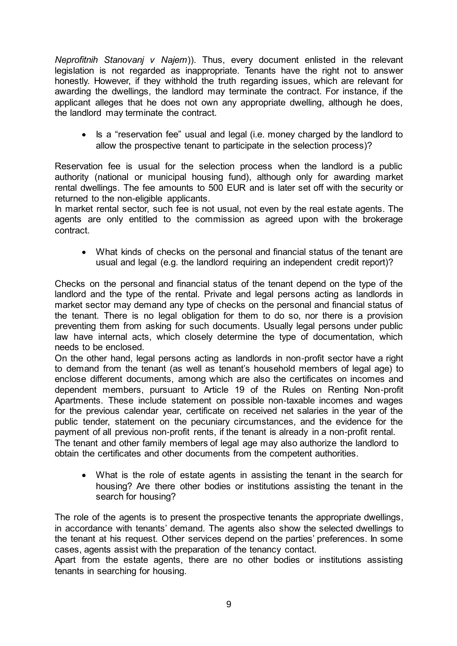*Neprofitnih Stanovanj v Najem*)). Thus, every document enlisted in the relevant legislation is not regarded as inappropriate. Tenants have the right not to answer honestly. However, if they withhold the truth regarding issues, which are relevant for awarding the dwellings, the landlord may terminate the contract. For instance, if the applicant alleges that he does not own any appropriate dwelling, although he does, the landlord may terminate the contract.

• Is a "reservation fee" usual and legal (i.e. money charged by the landlord to allow the prospective tenant to participate in the selection process)?

Reservation fee is usual for the selection process when the landlord is a public authority (national or municipal housing fund), although only for awarding market rental dwellings. The fee amounts to 500 EUR and is later set off with the security or returned to the non-eligible applicants.

In market rental sector, such fee is not usual, not even by the real estate agents. The agents are only entitled to the commission as agreed upon with the brokerage contract.

 What kinds of checks on the personal and financial status of the tenant are usual and legal (e.g. the landlord requiring an independent credit report)?

Checks on the personal and financial status of the tenant depend on the type of the landlord and the type of the rental. Private and legal persons acting as landlords in market sector may demand any type of checks on the personal and financial status of the tenant. There is no legal obligation for them to do so, nor there is a provision preventing them from asking for such documents. Usually legal persons under public law have internal acts, which closely determine the type of documentation, which needs to be enclosed.

On the other hand, legal persons acting as landlords in non-profit sector have a right to demand from the tenant (as well as tenant's household members of legal age) to enclose different documents, among which are also the certificates on incomes and dependent members, pursuant to Article 19 of the Rules on Renting Non-profit Apartments. These include statement on possible non-taxable incomes and wages for the previous calendar year, certificate on received net salaries in the year of the public tender, statement on the pecuniary circumstances, and the evidence for the payment of all previous non-profit rents, if the tenant is already in a non-profit rental. The tenant and other family members of legal age may also authorize the landlord to obtain the certificates and other documents from the competent authorities.

 What is the role of estate agents in assisting the tenant in the search for housing? Are there other bodies or institutions assisting the tenant in the search for housing?

The role of the agents is to present the prospective tenants the appropriate dwellings, in accordance with tenants' demand. The agents also show the selected dwellings to the tenant at his request. Other services depend on the parties' preferences. In some cases, agents assist with the preparation of the tenancy contact.

Apart from the estate agents, there are no other bodies or institutions assisting tenants in searching for housing.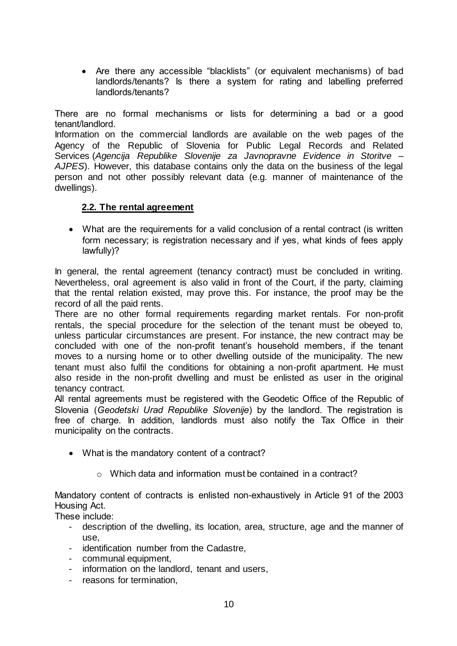Are there any accessible "blacklists" (or equivalent mechanisms) of bad landlords/tenants? Is there a system for rating and labelling preferred landlords/tenants?

There are no formal mechanisms or lists for determining a bad or a good tenant/landlord.

Information on the commercial landlords are available on the web pages of the [Agency of the Republic of Slovenia for Public Legal Records and Related](http://www.evroterm.gov.si/evrokorpus/svez_slovar4.php?beseda=%22Agency%20of%20the%20Republic%20of%20Slovenia%20for%20Public%20Legal%20Records%20and%20Related%20Services%22&jezik=slov&drugi=E)  [Services](http://www.evroterm.gov.si/evrokorpus/svez_slovar4.php?beseda=%22Agency%20of%20the%20Republic%20of%20Slovenia%20for%20Public%20Legal%20Records%20and%20Related%20Services%22&jezik=slov&drugi=E) (*[Agencija Republike Slovenije za Javnopravne Evidence in Storitve](http://www.evroterm.gov.si/evrokorpus/svez_slovar4.php?beseda=%22Agencija%20Republike%20Slovenije%20za%20javnopravne%20evidence%20in%20storitve%22&jezik=slov&drugi=SL) – AJPES*). However, this database contains only the data on the business of the legal person and not other possibly relevant data (e.g. manner of maintenance of the dwellings).

#### <span id="page-9-0"></span>**2.2. The rental agreement**

 What are the requirements for a valid conclusion of a rental contract (is written form necessary; is registration necessary and if yes, what kinds of fees apply lawfully)?

In general, the rental agreement (tenancy contract) must be concluded in writing. Nevertheless, oral agreement is also valid in front of the Court, if the party, claiming that the rental relation existed, may prove this. For instance, the proof may be the record of all the paid rents.

There are no other formal requirements regarding market rentals. For non-profit rentals, the special procedure for the selection of the tenant must be obeyed to, unless particular circumstances are present. For instance, the new contract may be concluded with one of the non-profit tenant's household members, if the tenant moves to a nursing home or to other dwelling outside of the municipality. The new tenant must also fulfil the conditions for obtaining a non-profit apartment. He must also reside in the non-profit dwelling and must be enlisted as user in the original tenancy contract.

All rental agreements must be registered with the Geodetic Office of the Republic of Slovenia (*Geodetski Urad Republike Slovenije*) by the landlord. The registration is free of charge. In addition, landlords must also notify the Tax Office in their municipality on the contracts.

- What is the mandatory content of a contract?
	- o Which data and information must be contained in a contract?

Mandatory content of contracts is enlisted non-exhaustively in Article 91 of the 2003 Housing Act.

These include:

- description of the dwelling, its location, area, structure, age and the manner of use,
- identification number from the Cadastre,
- communal equipment,
- information on the landlord, tenant and users,
- reasons for termination,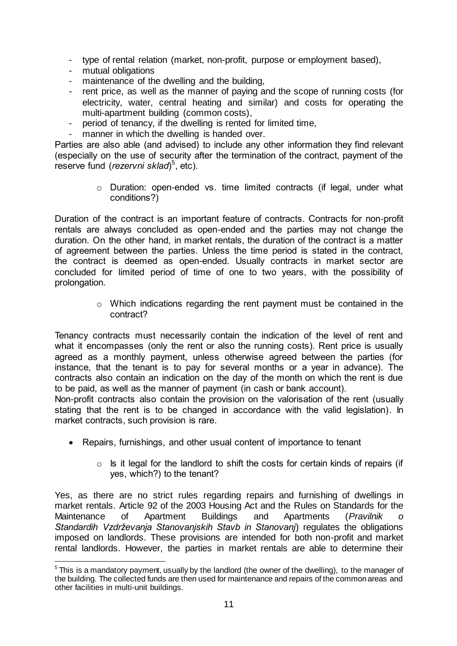- type of rental relation (market, non-profit, purpose or employment based),
- mutual obligations
- maintenance of the dwelling and the building.
- rent price, as well as the manner of paying and the scope of running costs (for electricity, water, central heating and similar) and costs for operating the multi-apartment building (common costs),
- period of tenancy, if the dwelling is rented for limited time,
- manner in which the dwelling is handed over.

Parties are also able (and advised) to include any other information they find relevant (especially on the use of security after the termination of the contract, payment of the reserve fund (*rezervni sklad*) 5 , etc).

> o Duration: open-ended vs. time limited contracts (if legal, under what conditions?)

Duration of the contract is an important feature of contracts. Contracts for non-profit rentals are always concluded as open-ended and the parties may not change the duration. On the other hand, in market rentals, the duration of the contract is a matter of agreement between the parties. Unless the time period is stated in the contract, the contract is deemed as open-ended. Usually contracts in market sector are concluded for limited period of time of one to two years, with the possibility of prolongation.

> o Which indications regarding the rent payment must be contained in the contract?

Tenancy contracts must necessarily contain the indication of the level of rent and what it encompasses (only the rent or also the running costs). Rent price is usually agreed as a monthly payment, unless otherwise agreed between the parties (for instance, that the tenant is to pay for several months or a year in advance). The contracts also contain an indication on the day of the month on which the rent is due to be paid, as well as the manner of payment (in cash or bank account).

Non-profit contracts also contain the provision on the valorisation of the rent (usually stating that the rent is to be changed in accordance with the valid legislation). In market contracts, such provision is rare.

- Repairs, furnishings, and other usual content of importance to tenant
	- $\circ$  Is it legal for the landlord to shift the costs for certain kinds of repairs (if yes, which?) to the tenant?

Yes, as there are no strict rules regarding repairs and furnishing of dwellings in market rentals. Article 92 of the 2003 Housing Act and the Rules on Standards for the Maintenance of Apartment Buildings and Apartments (*Pravilnik o [Standardih Vzdrževanja Stanovanjskih Stavb in Stanovanj](http://zakonodaja.gov.si/rpsi/r03/predpis_PRAV5263.html)*) regulates the obligations imposed on landlords. These provisions are intended for both non-profit and market rental landlords. However, the parties in market rentals are able to determine their

<sup>-</sup> $5$ This is a mandatory payment, usually by the landlord (the owner of the dwelling), to the manager of the building. The collected funds are then used for maintenance and repairs of the common areas and other facilities in multi-unit buildings.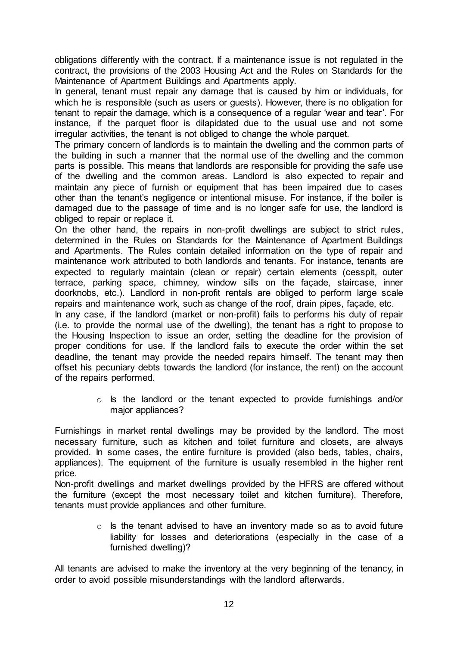obligations differently with the contract. If a maintenance issue is not regulated in the contract, the provisions of the 2003 Housing Act and the Rules on Standards for the Maintenance of Apartment Buildings and Apartments apply.

In general, tenant must repair any damage that is caused by him or individuals, for which he is responsible (such as users or guests). However, there is no obligation for tenant to repair the damage, which is a consequence of a regular 'wear and tear'. For instance, if the parquet floor is dilapidated due to the usual use and not some irregular activities, the tenant is not obliged to change the whole parquet.

The primary concern of landlords is to maintain the dwelling and the common parts of the building in such a manner that the normal use of the dwelling and the common parts is possible. This means that landlords are responsible for providing the safe use of the dwelling and the common areas. Landlord is also expected to repair and maintain any piece of furnish or equipment that has been impaired due to cases other than the tenant's negligence or intentional misuse. For instance, if the boiler is damaged due to the passage of time and is no longer safe for use, the landlord is obliged to repair or replace it.

On the other hand, the repairs in non-profit dwellings are subject to strict rules, determined in the Rules on Standards for the Maintenance of Apartment Buildings and Apartments. The Rules contain detailed information on the type of repair and maintenance work attributed to both landlords and tenants. For instance, tenants are expected to regularly maintain (clean or repair) certain elements (cesspit, outer terrace, parking space, chimney, window sills on the façade, staircase, inner doorknobs, etc.). Landlord in non-profit rentals are obliged to perform large scale repairs and maintenance work, such as change of the roof, drain pipes, façade, etc.

In any case, if the landlord (market or non-profit) fails to performs his duty of repair (i.e. to provide the normal use of the dwelling), the tenant has a right to propose to the Housing Inspection to issue an order, setting the deadline for the provision of proper conditions for use. If the landlord fails to execute the order within the set deadline, the tenant may provide the needed repairs himself. The tenant may then offset his pecuniary debts towards the landlord (for instance, the rent) on the account of the repairs performed.

> o Is the landlord or the tenant expected to provide furnishings and/or major appliances?

Furnishings in market rental dwellings may be provided by the landlord. The most necessary furniture, such as kitchen and toilet furniture and closets, are always provided. In some cases, the entire furniture is provided (also beds, tables, chairs, appliances). The equipment of the furniture is usually resembled in the higher rent price.

Non-profit dwellings and market dwellings provided by the HFRS are offered without the furniture (except the most necessary toilet and kitchen furniture). Therefore, tenants must provide appliances and other furniture.

> $\circ$  Is the tenant advised to have an inventory made so as to avoid future liability for losses and deteriorations (especially in the case of a furnished dwelling)?

All tenants are advised to make the inventory at the very beginning of the tenancy, in order to avoid possible misunderstandings with the landlord afterwards.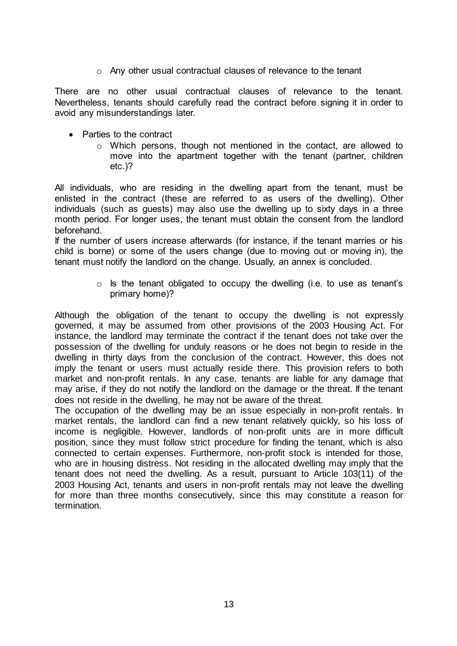o Any other usual contractual clauses of relevance to the tenant

There are no other usual contractual clauses of relevance to the tenant. Nevertheless, tenants should carefully read the contract before signing it in order to avoid any misunderstandings later.

- Parties to the contract
	- $\circ$  Which persons, though not mentioned in the contact, are allowed to move into the apartment together with the tenant (partner, children etc.)?

All individuals, who are residing in the dwelling apart from the tenant, must be enlisted in the contract (these are referred to as users of the dwelling). Other individuals (such as guests) may also use the dwelling up to sixty days in a three month period. For longer uses, the tenant must obtain the consent from the landlord beforehand.

If the number of users increase afterwards (for instance, if the tenant marries or his child is borne) or some of the users change (due to moving out or moving in), the tenant must notify the landlord on the change. Usually, an annex is concluded.

> $\circ$  Is the tenant obligated to occupy the dwelling (i.e. to use as tenant's primary home)?

Although the obligation of the tenant to occupy the dwelling is not expressly governed, it may be assumed from other provisions of the 2003 Housing Act. For instance, the landlord may terminate the contract if the tenant does not take over the possession of the dwelling for unduly reasons or he does not begin to reside in the dwelling in thirty days from the conclusion of the contract. However, this does not imply the tenant or users must actually reside there. This provision refers to both market and non-profit rentals. In any case, tenants are liable for any damage that may arise, if they do not notify the landlord on the damage or the threat. If the tenant does not reside in the dwelling, he may not be aware of the threat.

The occupation of the dwelling may be an issue especially in non-profit rentals. In market rentals, the landlord can find a new tenant relatively quickly, so his loss of income is negligible. However, landlords of non-profit units are in more difficult position, since they must follow strict procedure for finding the tenant, which is also connected to certain expenses. Furthermore, non-profit stock is intended for those, who are in housing distress. Not residing in the allocated dwelling may imply that the tenant does not need the dwelling. As a result, pursuant to Article 103(11) of the 2003 Housing Act, tenants and users in non-profit rentals may not leave the dwelling for more than three months consecutively, since this may constitute a reason for termination.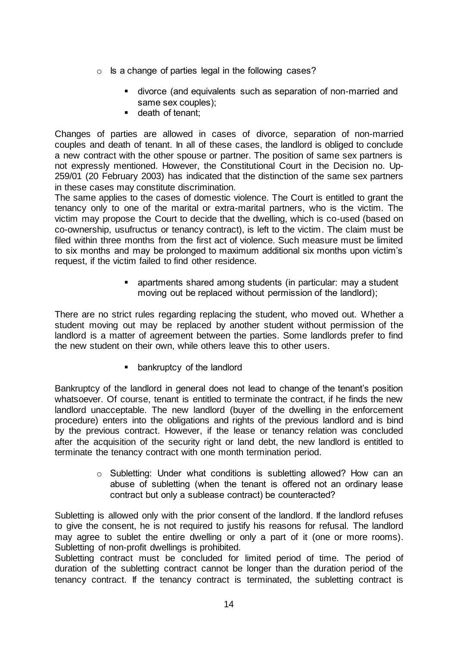- o Is a change of parties legal in the following cases?
	- divorce (and equivalents such as separation of non-married and same sex couples);
	- **death of tenant;**

Changes of parties are allowed in cases of divorce, separation of non-married couples and death of tenant. In all of these cases, the landlord is obliged to conclude a new contract with the other spouse or partner. The position of same sex partners is not expressly mentioned. However, the Constitutional Court in the Decision no. Up-259/01 (20 February 2003) has indicated that the distinction of the same sex partners in these cases may constitute discrimination.

The same applies to the cases of domestic violence. The Court is entitled to grant the tenancy only to one of the marital or extra-marital partners, who is the victim. The victim may propose the Court to decide that the dwelling, which is co-used (based on co-ownership, usufructus or tenancy contract), is left to the victim. The claim must be filed within three months from the first act of violence. Such measure must be limited to six months and may be prolonged to maximum additional six months upon victim's request, if the victim failed to find other residence.

> apartments shared among students (in particular: may a student moving out be replaced without permission of the landlord);

There are no strict rules regarding replacing the student, who moved out. Whether a student moving out may be replaced by another student without permission of the landlord is a matter of agreement between the parties. Some landlords prefer to find the new student on their own, while others leave this to other users.

**Example 1** bankruptcy of the landlord

Bankruptcy of the landlord in general does not lead to change of the tenant's position whatsoever. Of course, tenant is entitled to terminate the contract, if he finds the new landlord unacceptable. The new landlord (buyer of the dwelling in the enforcement procedure) enters into the obligations and rights of the previous landlord and is bind by the previous contract. However, if the lease or tenancy relation was concluded after the acquisition of the security right or land debt, the new landlord is entitled to terminate the tenancy contract with one month termination period.

> o Subletting: Under what conditions is subletting allowed? How can an abuse of subletting (when the tenant is offered not an ordinary lease contract but only a sublease contract) be counteracted?

Subletting is allowed only with the prior consent of the landlord. If the landlord refuses to give the consent, he is not required to justify his reasons for refusal. The landlord may agree to sublet the entire dwelling or only a part of it (one or more rooms). Subletting of non-profit dwellings is prohibited.

Subletting contract must be concluded for limited period of time. The period of duration of the subletting contract cannot be longer than the duration period of the tenancy contract. If the tenancy contract is terminated, the subletting contract is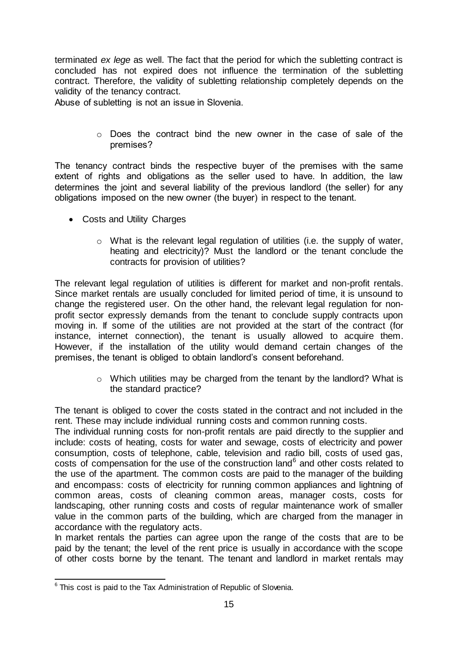terminated *ex lege* as well. The fact that the period for which the subletting contract is concluded has not expired does not influence the termination of the subletting contract. Therefore, the validity of subletting relationship completely depends on the validity of the tenancy contract.

Abuse of subletting is not an issue in Slovenia.

 $\circ$  Does the contract bind the new owner in the case of sale of the premises?

The tenancy contract binds the respective buyer of the premises with the same extent of rights and obligations as the seller used to have. In addition, the law determines the joint and several liability of the previous landlord (the seller) for any obligations imposed on the new owner (the buyer) in respect to the tenant.

- Costs and Utility Charges
	- o What is the relevant legal regulation of utilities (i.e. the supply of water, heating and electricity)? Must the landlord or the tenant conclude the contracts for provision of utilities?

The relevant legal regulation of utilities is different for market and non-profit rentals. Since market rentals are usually concluded for limited period of time, it is unsound to change the registered user. On the other hand, the relevant legal regulation for nonprofit sector expressly demands from the tenant to conclude supply contracts upon moving in. If some of the utilities are not provided at the start of the contract (for instance, internet connection), the tenant is usually allowed to acquire them. However, if the installation of the utility would demand certain changes of the premises, the tenant is obliged to obtain landlord's consent beforehand.

> $\circ$  Which utilities may be charged from the tenant by the landlord? What is the standard practice?

The tenant is obliged to cover the costs stated in the contract and not included in the rent. These may include individual running costs and common running costs.

The individual running costs for non-profit rentals are paid directly to the supplier and include: costs of heating, costs for water and sewage, costs of electricity and power consumption, costs of telephone, cable, television and radio bill, costs of used gas, costs of compensation for the use of the construction land<sup>6</sup> and other costs related to the use of the apartment. The common costs are paid to the manager of the building and encompass: costs of electricity for running common appliances and lightning of common areas, costs of cleaning common areas, manager costs, costs for landscaping, other running costs and costs of regular maintenance work of smaller value in the common parts of the building, which are charged from the manager in accordance with the regulatory acts.

In market rentals the parties can agree upon the range of the costs that are to be paid by the tenant; the level of the rent price is usually in accordance with the scope of other costs borne by the tenant. The tenant and landlord in market rentals may

 6 This cost is paid to the Tax Administration of Republic of Slovenia.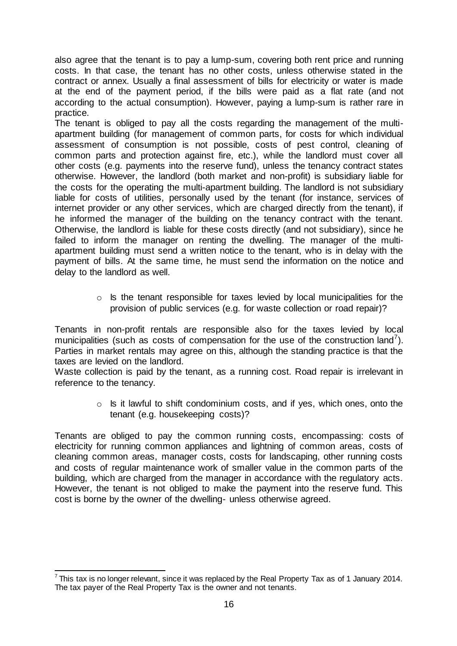also agree that the tenant is to pay a lump-sum, covering both rent price and running costs. In that case, the tenant has no other costs, unless otherwise stated in the contract or annex. Usually a final assessment of bills for electricity or water is made at the end of the payment period, if the bills were paid as a flat rate (and not according to the actual consumption). However, paying a lump-sum is rather rare in practice.

The tenant is obliged to pay all the costs regarding the management of the multiapartment building (for management of common parts, for costs for which individual assessment of consumption is not possible, costs of pest control, cleaning of common parts and protection against fire, etc.), while the landlord must cover all other costs (e.g. payments into the reserve fund), unless the tenancy contract states otherwise. However, the landlord (both market and non-profit) is subsidiary liable for the costs for the operating the multi-apartment building. The landlord is not subsidiary liable for costs of utilities, personally used by the tenant (for instance, services of internet provider or any other services, which are charged directly from the tenant), if he informed the manager of the building on the tenancy contract with the tenant. Otherwise, the landlord is liable for these costs directly (and not subsidiary), since he failed to inform the manager on renting the dwelling. The manager of the multiapartment building must send a written notice to the tenant, who is in delay with the payment of bills. At the same time, he must send the information on the notice and delay to the landlord as well.

> o Is the tenant responsible for taxes levied by local municipalities for the provision of public services (e.g. for waste collection or road repair)?

Tenants in non-profit rentals are responsible also for the taxes levied by local municipalities (such as costs of compensation for the use of the construction land<sup>7</sup>). Parties in market rentals may agree on this, although the standing practice is that the taxes are levied on the landlord.

Waste collection is paid by the tenant, as a running cost. Road repair is irrelevant in reference to the tenancy.

> o Is it lawful to shift condominium costs, and if yes, which ones, onto the tenant (e.g. housekeeping costs)?

Tenants are obliged to pay the common running costs, encompassing: costs of electricity for running common appliances and lightning of common areas, costs of cleaning common areas, manager costs, costs for landscaping, other running costs and costs of regular maintenance work of smaller value in the common parts of the building, which are charged from the manager in accordance with the regulatory acts. However, the tenant is not obliged to make the payment into the reserve fund. This cost is borne by the owner of the dwelling- unless otherwise agreed.

 7 This tax is no longer relevant, since it was replaced by the Real Property Tax as of 1 January 2014. The tax payer of the Real Property Tax is the owner and not tenants.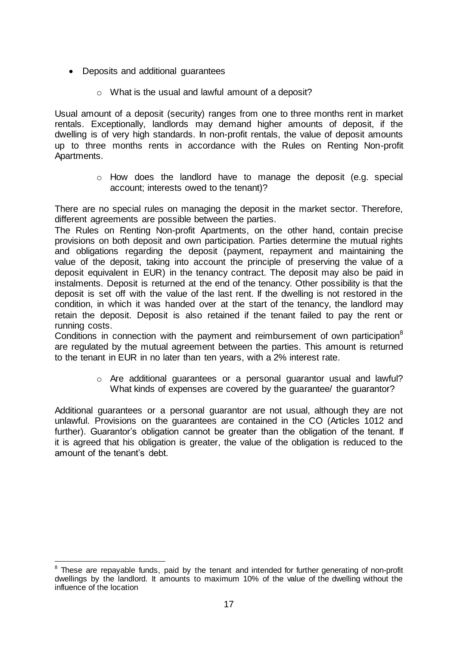- Deposits and additional guarantees
	- o What is the usual and lawful amount of a deposit?

Usual amount of a deposit (security) ranges from one to three months rent in market rentals. Exceptionally, landlords may demand higher amounts of deposit, if the dwelling is of very high standards. In non-profit rentals, the value of deposit amounts up to three months rents in accordance with the Rules on Renting Non-profit Apartments.

> o How does the landlord have to manage the deposit (e.g. special account; interests owed to the tenant)?

There are no special rules on managing the deposit in the market sector. Therefore, different agreements are possible between the parties.

The Rules on Renting Non-profit Apartments, on the other hand, contain precise provisions on both deposit and own participation. Parties determine the mutual rights and obligations regarding the deposit (payment, repayment and maintaining the value of the deposit, taking into account the principle of preserving the value of a deposit equivalent in EUR) in the tenancy contract. The deposit may also be paid in instalments. Deposit is returned at the end of the tenancy. Other possibility is that the deposit is set off with the value of the last rent. If the dwelling is not restored in the condition, in which it was handed over at the start of the tenancy, the landlord may retain the deposit. Deposit is also retained if the tenant failed to pay the rent or running costs.

Conditions in connection with the payment and reimbursement of own participation $8$ are regulated by the mutual agreement between the parties. This amount is returned to the tenant in EUR in no later than ten years, with a 2% interest rate.

> o Are additional guarantees or a personal guarantor usual and lawful? What kinds of expenses are covered by the guarantee/ the guarantor?

Additional guarantees or a personal guarantor are not usual, although they are not unlawful. Provisions on the guarantees are contained in the CO (Articles 1012 and further). Guarantor's obligation cannot be greater than the obligation of the tenant. If it is agreed that his obligation is greater, the value of the obligation is reduced to the amount of the tenant's debt.

**ENET CONCORDED TESTS**<br><sup>8</sup> These are repayable funds, paid by the tenant and intended for further generating of non-profit dwellings by the landlord. It amounts to maximum 10% of the value of the dwelling without the influence of the location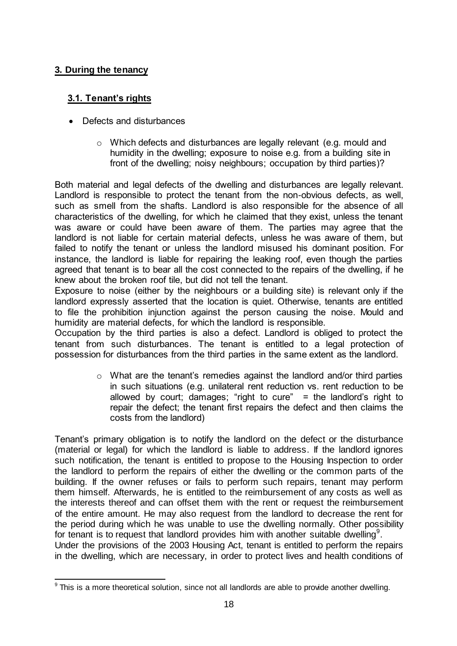#### <span id="page-17-0"></span>**3. During the tenancy**

#### <span id="page-17-1"></span> **3.1. Tenant's rights**

- Defects and disturbances
	- $\circ$  Which defects and disturbances are legally relevant (e.g. mould and humidity in the dwelling; exposure to noise e.g. from a building site in front of the dwelling; noisy neighbours; occupation by third parties)?

Both material and legal defects of the dwelling and disturbances are legally relevant. Landlord is responsible to protect the tenant from the non-obvious defects, as well, such as smell from the shafts. Landlord is also responsible for the absence of all characteristics of the dwelling, for which he claimed that they exist, unless the tenant was aware or could have been aware of them. The parties may agree that the landlord is not liable for certain material defects, unless he was aware of them, but failed to notify the tenant or unless the landlord misused his dominant position. For instance, the landlord is liable for repairing the leaking roof, even though the parties agreed that tenant is to bear all the cost connected to the repairs of the dwelling, if he knew about the broken roof tile, but did not tell the tenant.

Exposure to noise (either by the neighbours or a building site) is relevant only if the landlord expressly asserted that the location is quiet. Otherwise, tenants are entitled to file the prohibition injunction against the person causing the noise. Mould and humidity are material defects, for which the landlord is responsible.

Occupation by the third parties is also a defect. Landlord is obliged to protect the tenant from such disturbances. The tenant is entitled to a legal protection of possession for disturbances from the third parties in the same extent as the landlord.

> $\circ$  What are the tenant's remedies against the landlord and/or third parties in such situations (e.g. unilateral rent reduction vs. rent reduction to be allowed by court; damages; "right to cure" = the landlord's right to repair the defect; the tenant first repairs the defect and then claims the costs from the landlord)

Tenant's primary obligation is to notify the landlord on the defect or the disturbance (material or legal) for which the landlord is liable to address. If the landlord ignores such notification, the tenant is entitled to propose to the Housing Inspection to order the landlord to perform the repairs of either the dwelling or the common parts of the building. If the owner refuses or fails to perform such repairs, tenant may perform them himself. Afterwards, he is entitled to the reimbursement of any costs as well as the interests thereof and can offset them with the rent or request the reimbursement of the entire amount. He may also request from the landlord to decrease the rent for the period during which he was unable to use the dwelling normally. Other possibility for tenant is to request that landlord provides him with another suitable dwelling<sup>9</sup>. Under the provisions of the 2003 Housing Act, tenant is entitled to perform the repairs in the dwelling, which are necessary, in order to protect lives and health conditions of

 9 This is a more theoretical solution, since not all landlords are able to provide another dwelling.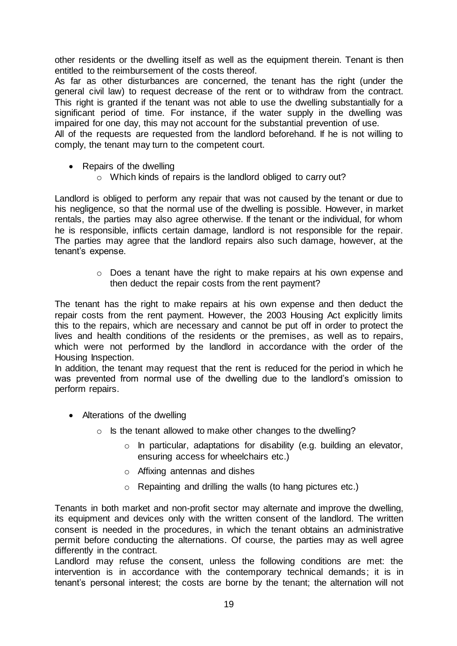other residents or the dwelling itself as well as the equipment therein. Tenant is then entitled to the reimbursement of the costs thereof.

As far as other disturbances are concerned, the tenant has the right (under the general civil law) to request decrease of the rent or to withdraw from the contract. This right is granted if the tenant was not able to use the dwelling substantially for a significant period of time. For instance, if the water supply in the dwelling was impaired for one day, this may not account for the substantial prevention of use.

All of the requests are requested from the landlord beforehand. If he is not willing to comply, the tenant may turn to the competent court.

- Repairs of the dwelling
	- o Which kinds of repairs is the landlord obliged to carry out?

Landlord is obliged to perform any repair that was not caused by the tenant or due to his negligence, so that the normal use of the dwelling is possible. However, in market rentals, the parties may also agree otherwise. If the tenant or the individual, for whom he is responsible, inflicts certain damage, landlord is not responsible for the repair. The parties may agree that the landlord repairs also such damage, however, at the tenant's expense.

> o Does a tenant have the right to make repairs at his own expense and then deduct the repair costs from the rent payment?

The tenant has the right to make repairs at his own expense and then deduct the repair costs from the rent payment. However, the 2003 Housing Act explicitly limits this to the repairs, which are necessary and cannot be put off in order to protect the lives and health conditions of the residents or the premises, as well as to repairs, which were not performed by the landlord in accordance with the order of the Housing Inspection.

In addition, the tenant may request that the rent is reduced for the period in which he was prevented from normal use of the dwelling due to the landlord's omission to perform repairs.

- Alterations of the dwelling
	- o Is the tenant allowed to make other changes to the dwelling?
		- o In particular, adaptations for disability (e.g. building an elevator, ensuring access for wheelchairs etc.)
		- o Affixing antennas and dishes
		- o Repainting and drilling the walls (to hang pictures etc.)

Tenants in both market and non-profit sector may alternate and improve the dwelling, its equipment and devices only with the written consent of the landlord. The written consent is needed in the procedures, in which the tenant obtains an administrative permit before conducting the alternations. Of course, the parties may as well agree differently in the contract.

Landlord may refuse the consent, unless the following conditions are met: the intervention is in accordance with the contemporary technical demands; it is in tenant's personal interest; the costs are borne by the tenant; the alternation will not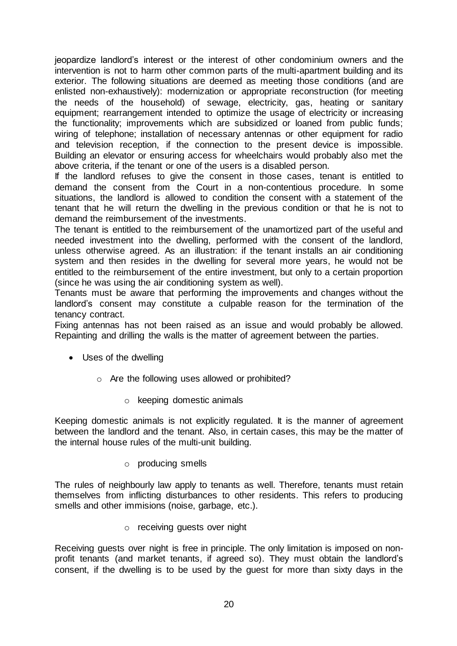jeopardize landlord's interest or the interest of other condominium owners and the intervention is not to harm other common parts of the multi-apartment building and its exterior. The following situations are deemed as meeting those conditions (and are enlisted non-exhaustively): modernization or appropriate reconstruction (for meeting the needs of the household) of sewage, electricity, gas, heating or sanitary equipment; rearrangement intended to optimize the usage of electricity or increasing the functionality; improvements which are subsidized or loaned from public funds; wiring of telephone; installation of necessary antennas or other equipment for radio and television reception, if the connection to the present device is impossible. Building an elevator or ensuring access for wheelchairs would probably also met the above criteria, if the tenant or one of the users is a disabled person.

If the landlord refuses to give the consent in those cases, tenant is entitled to demand the consent from the Court in a non-contentious procedure. In some situations, the landlord is allowed to condition the consent with a statement of the tenant that he will return the dwelling in the previous condition or that he is not to demand the reimbursement of the investments.

The tenant is entitled to the reimbursement of the unamortized part of the useful and needed investment into the dwelling, performed with the consent of the landlord, unless otherwise agreed. As an illustration: if the tenant installs an air conditioning system and then resides in the dwelling for several more years, he would not be entitled to the reimbursement of the entire investment, but only to a certain proportion (since he was using the air conditioning system as well).

Tenants must be aware that performing the improvements and changes without the landlord's consent may constitute a culpable reason for the termination of the tenancy contract.

Fixing antennas has not been raised as an issue and would probably be allowed. Repainting and drilling the walls is the matter of agreement between the parties.

- Uses of the dwelling
	- o Are the following uses allowed or prohibited?
		- o keeping domestic animals

Keeping domestic animals is not explicitly regulated. It is the manner of agreement between the landlord and the tenant. Also, in certain cases, this may be the matter of the internal house rules of the multi-unit building.

o producing smells

The rules of neighbourly law apply to tenants as well. Therefore, tenants must retain themselves from inflicting disturbances to other residents. This refers to producing smells and other immisions (noise, garbage, etc.).

o receiving guests over night

Receiving guests over night is free in principle. The only limitation is imposed on nonprofit tenants (and market tenants, if agreed so). They must obtain the landlord's consent, if the dwelling is to be used by the guest for more than sixty days in the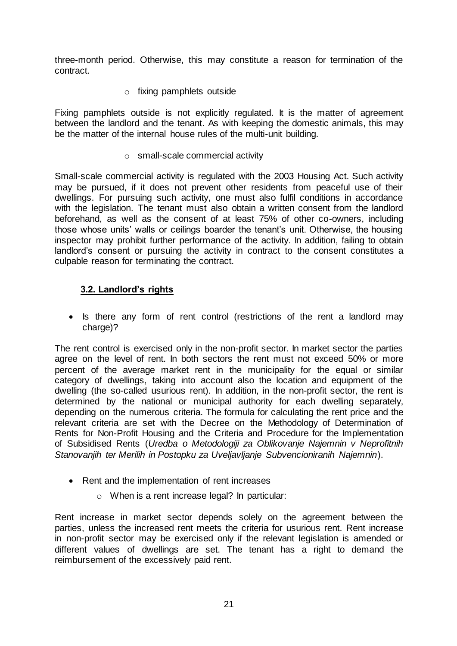three-month period. Otherwise, this may constitute a reason for termination of the contract.

o fixing pamphlets outside

Fixing pamphlets outside is not explicitly regulated. It is the matter of agreement between the landlord and the tenant. As with keeping the domestic animals, this may be the matter of the internal house rules of the multi-unit building.

o small-scale commercial activity

Small-scale commercial activity is regulated with the 2003 Housing Act. Such activity may be pursued, if it does not prevent other residents from peaceful use of their dwellings. For pursuing such activity, one must also fulfil conditions in accordance with the legislation. The tenant must also obtain a written consent from the landlord beforehand, as well as the consent of at least 75% of other co-owners, including those whose units' walls or ceilings boarder the tenant's unit. Otherwise, the housing inspector may prohibit further performance of the activity. In addition, failing to obtain landlord's consent or pursuing the activity in contract to the consent constitutes a culpable reason for terminating the contract.

#### <span id="page-20-0"></span> **3.2. Landlord's rights**

• Is there any form of rent control (restrictions of the rent a landlord may charge)?

The rent control is exercised only in the non-profit sector. In market sector the parties agree on the level of rent. In both sectors the rent must not exceed 50% or more percent of the average market rent in the municipality for the equal or similar category of dwellings, taking into account also the location and equipment of the dwelling (the so-called usurious rent). In addition, in the non-profit sector, the rent is determined by the national or municipal authority for each dwelling separately, depending on the numerous criteria. The formula for calculating the rent price and the relevant criteria are set with the Decree on the Methodology of Determination of Rents for Non-Profit Housing and the Criteria and Procedure for the Implementation of Subsidised Rents (*Uredba o Metodologiji za Oblikovanje Najemnin v Neprofitnih Stanovanjih ter Merilih in Postopku za Uveljavljanje Subvencioniranih Najemnin*).

- Rent and the implementation of rent increases
	- o When is a rent increase legal? In particular:

Rent increase in market sector depends solely on the agreement between the parties, unless the increased rent meets the criteria for usurious rent. Rent increase in non-profit sector may be exercised only if the relevant legislation is amended or different values of dwellings are set. The tenant has a right to demand the reimbursement of the excessively paid rent.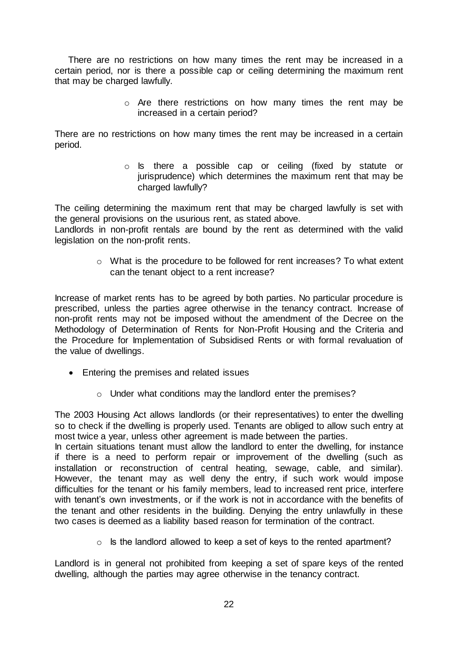There are no restrictions on how many times the rent may be increased in a certain period, nor is there a possible cap or ceiling determining the maximum rent that may be charged lawfully.

> o Are there restrictions on how many times the rent may be increased in a certain period?

There are no restrictions on how many times the rent may be increased in a certain period.

> o Is there a possible cap or ceiling (fixed by statute or jurisprudence) which determines the maximum rent that may be charged lawfully?

The ceiling determining the maximum rent that may be charged lawfully is set with the general provisions on the usurious rent, as stated above.

Landlords in non-profit rentals are bound by the rent as determined with the valid legislation on the non-profit rents.

> o What is the procedure to be followed for rent increases? To what extent can the tenant object to a rent increase?

Increase of market rents has to be agreed by both parties. No particular procedure is prescribed, unless the parties agree otherwise in the tenancy contract. Increase of non-profit rents may not be imposed without the amendment of the Decree on the Methodology of Determination of Rents for Non-Profit Housing and the Criteria and the Procedure for Implementation of Subsidised Rents or with formal revaluation of the value of dwellings.

- Entering the premises and related issues
	- o Under what conditions may the landlord enter the premises?

The 2003 Housing Act allows landlords (or their representatives) to enter the dwelling so to check if the dwelling is properly used. Tenants are obliged to allow such entry at most twice a year, unless other agreement is made between the parties.

In certain situations tenant must allow the landlord to enter the dwelling, for instance if there is a need to perform repair or improvement of the dwelling (such as installation or reconstruction of central heating, sewage, cable, and similar). However, the tenant may as well deny the entry, if such work would impose difficulties for the tenant or his family members, lead to increased rent price, interfere with tenant's own investments, or if the work is not in accordance with the benefits of the tenant and other residents in the building. Denying the entry unlawfully in these two cases is deemed as a liability based reason for termination of the contract.

 $\circ$  Is the landlord allowed to keep a set of keys to the rented apartment?

Landlord is in general not prohibited from keeping a set of spare keys of the rented dwelling, although the parties may agree otherwise in the tenancy contract.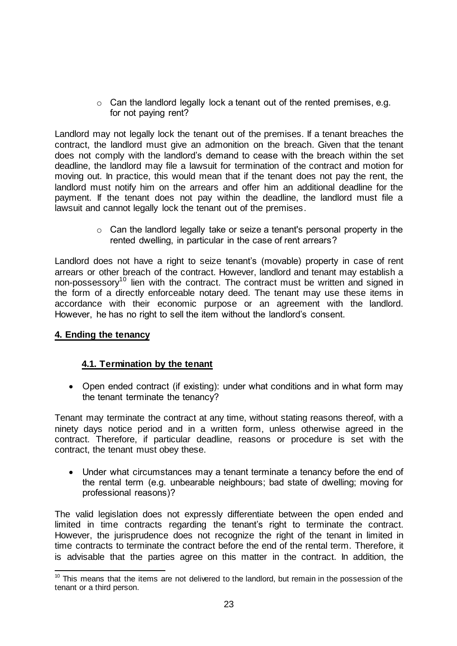o Can the landlord legally lock a tenant out of the rented premises, e.g. for not paying rent?

Landlord may not legally lock the tenant out of the premises. If a tenant breaches the contract, the landlord must give an admonition on the breach. Given that the tenant does not comply with the landlord's demand to cease with the breach within the set deadline, the landlord may file a lawsuit for termination of the contract and motion for moving out. In practice, this would mean that if the tenant does not pay the rent, the landlord must notify him on the arrears and offer him an additional deadline for the payment. If the tenant does not pay within the deadline, the landlord must file a lawsuit and cannot legally lock the tenant out of the premises.

> $\circ$  Can the landlord legally take or seize a tenant's personal property in the rented dwelling, in particular in the case of rent arrears?

Landlord does not have a right to seize tenant's (movable) property in case of rent arrears or other breach of the contract. However, landlord and tenant may establish a non-possessory<sup>10</sup> lien with the contract. The contract must be written and signed in the form of a directly enforceable notary deed. The tenant may use these items in accordance with their economic purpose or an agreement with the landlord. However, he has no right to sell the item without the landlord's consent.

#### <span id="page-22-0"></span>**4. Ending the tenancy**

#### <span id="page-22-1"></span>**4.1. Termination by the tenant**

• Open ended contract (if existing): under what conditions and in what form may the tenant terminate the tenancy?

Tenant may terminate the contract at any time, without stating reasons thereof, with a ninety days notice period and in a written form, unless otherwise agreed in the contract. Therefore, if particular deadline, reasons or procedure is set with the contract, the tenant must obey these.

 Under what circumstances may a tenant terminate a tenancy before the end of the rental term (e.g. unbearable neighbours; bad state of dwelling; moving for professional reasons)?

The valid legislation does not expressly differentiate between the open ended and limited in time contracts regarding the tenant's right to terminate the contract. However, the jurisprudence does not recognize the right of the tenant in limited in time contracts to terminate the contract before the end of the rental term. Therefore, it is advisable that the parties agree on this matter in the contract. In addition, the

<sup>-</sup> $10$  This means that the items are not delivered to the landlord, but remain in the possession of the tenant or a third person.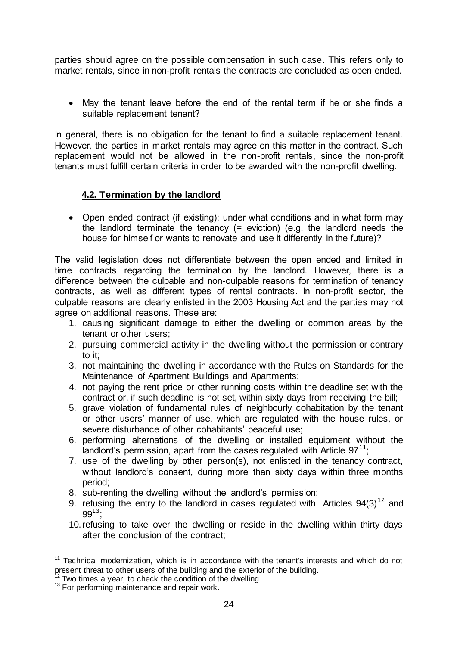parties should agree on the possible compensation in such case. This refers only to market rentals, since in non-profit rentals the contracts are concluded as open ended.

 May the tenant leave before the end of the rental term if he or she finds a suitable replacement tenant?

In general, there is no obligation for the tenant to find a suitable replacement tenant. However, the parties in market rentals may agree on this matter in the contract. Such replacement would not be allowed in the non-profit rentals, since the non-profit tenants must fulfill certain criteria in order to be awarded with the non-profit dwelling.

#### <span id="page-23-0"></span>**4.2. Termination by the landlord**

• Open ended contract (if existing): under what conditions and in what form may the landlord terminate the tenancy (= eviction) (e.g. the landlord needs the house for himself or wants to renovate and use it differently in the future)?

The valid legislation does not differentiate between the open ended and limited in time contracts regarding the termination by the landlord. However, there is a difference between the culpable and non-culpable reasons for termination of tenancy contracts, as well as different types of rental contracts. In non-profit sector, the culpable reasons are clearly enlisted in the 2003 Housing Act and the parties may not agree on additional reasons. These are:

- 1. causing significant damage to either the dwelling or common areas by the tenant or other users;
- 2. pursuing commercial activity in the dwelling without the permission or contrary to it;
- 3. not maintaining the dwelling in accordance with the Rules on Standards for the Maintenance of Apartment Buildings and Apartments;
- 4. not paying the rent price or other running costs within the deadline set with the contract or, if such deadline is not set, within sixty days from receiving the bill;
- 5. grave violation of fundamental rules of neighbourly cohabitation by the tenant or other users' manner of use, which are regulated with the house rules, or severe disturbance of other cohabitants' peaceful use;
- 6. performing alternations of the dwelling or installed equipment without the landlord's permission, apart from the cases regulated with Article  $97^{11}$ ;
- 7. use of the dwelling by other person(s), not enlisted in the tenancy contract, without landlord's consent, during more than sixty days within three months period;
- 8. sub-renting the dwelling without the landlord's permission;
- 9. refusing the entry to the landlord in cases regulated with Articles  $94(3)^{12}$  and  $99^{13}$
- 10.refusing to take over the dwelling or reside in the dwelling within thirty days after the conclusion of the contract;

 $\overline{a}$  $11$  Technical modernization, which is in accordance with the tenant's interests and which do not present threat to other users of the building and the exterior of the building.

Two times a year, to check the condition of the dwelling.

<sup>&</sup>lt;sup>13</sup> For performing maintenance and repair work.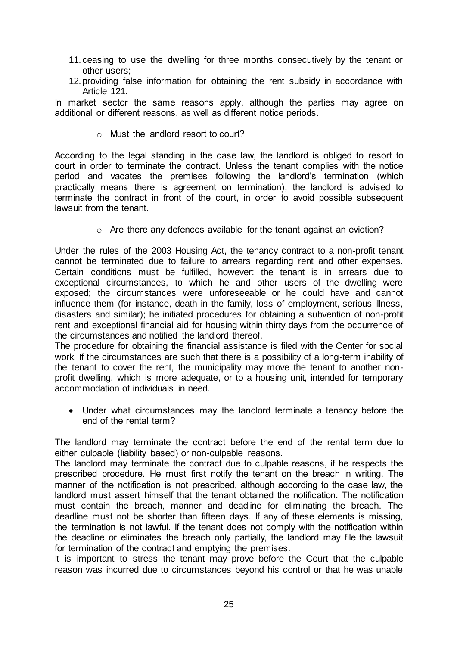- 11.ceasing to use the dwelling for three months consecutively by the tenant or other users;
- 12.providing false information for obtaining the rent subsidy in accordance with Article 121.

In market sector the same reasons apply, although the parties may agree on additional or different reasons, as well as different notice periods.

o Must the landlord resort to court?

According to the legal standing in the case law, the landlord is obliged to resort to court in order to terminate the contract. Unless the tenant complies with the notice period and vacates the premises following the landlord's termination (which practically means there is agreement on termination), the landlord is advised to terminate the contract in front of the court, in order to avoid possible subsequent lawsuit from the tenant.

o Are there any defences available for the tenant against an eviction?

Under the rules of the 2003 Housing Act, the tenancy contract to a non-profit tenant cannot be terminated due to failure to arrears regarding rent and other expenses. Certain conditions must be fulfilled, however: the tenant is in arrears due to exceptional circumstances, to which he and other users of the dwelling were exposed; the circumstances were unforeseeable or he could have and cannot influence them (for instance, death in the family, loss of employment, serious illness, disasters and similar); he initiated procedures for obtaining a subvention of non-profit rent and exceptional financial aid for housing within thirty days from the occurrence of the circumstances and notified the landlord thereof.

The procedure for obtaining the financial assistance is filed with the Center for social work. If the circumstances are such that there is a possibility of a long-term inability of the tenant to cover the rent, the municipality may move the tenant to another nonprofit dwelling, which is more adequate, or to a housing unit, intended for temporary accommodation of individuals in need.

 Under what circumstances may the landlord terminate a tenancy before the end of the rental term?

The landlord may terminate the contract before the end of the rental term due to either culpable (liability based) or non-culpable reasons.

The landlord may terminate the contract due to culpable reasons, if he respects the prescribed procedure. He must first notify the tenant on the breach in writing. The manner of the notification is not prescribed, although according to the case law, the landlord must assert himself that the tenant obtained the notification. The notification must contain the breach, manner and deadline for eliminating the breach. The deadline must not be shorter than fifteen days. If any of these elements is missing, the termination is not lawful. If the tenant does not comply with the notification within the deadline or eliminates the breach only partially, the landlord may file the lawsuit for termination of the contract and emptying the premises.

It is important to stress the tenant may prove before the Court that the culpable reason was incurred due to circumstances beyond his control or that he was unable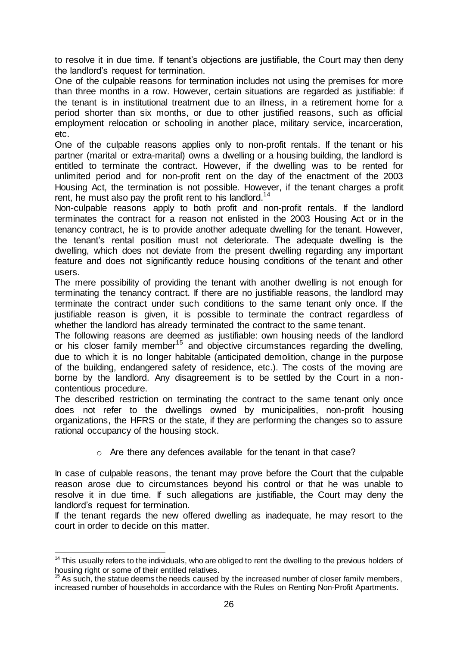to resolve it in due time. If tenant's objections are justifiable, the Court may then deny the landlord's request for termination.

One of the culpable reasons for termination includes not using the premises for more than three months in a row. However, certain situations are regarded as justifiable: if the tenant is in institutional treatment due to an illness, in a retirement home for a period shorter than six months, or due to other justified reasons, such as official employment relocation or schooling in another place, military service, incarceration, etc.

One of the culpable reasons applies only to non-profit rentals. If the tenant or his partner (marital or extra-marital) owns a dwelling or a housing building, the landlord is entitled to terminate the contract. However, if the dwelling was to be rented for unlimited period and for non-profit rent on the day of the enactment of the 2003 Housing Act, the termination is not possible. However, if the tenant charges a profit rent, he must also pay the profit rent to his landlord.<sup>14</sup>

Non-culpable reasons apply to both profit and non-profit rentals. If the landlord terminates the contract for a reason not enlisted in the 2003 Housing Act or in the tenancy contract, he is to provide another adequate dwelling for the tenant. However, the tenant's rental position must not deteriorate. The adequate dwelling is the dwelling, which does not deviate from the present dwelling regarding any important feature and does not significantly reduce housing conditions of the tenant and other users.

The mere possibility of providing the tenant with another dwelling is not enough for terminating the tenancy contract. If there are no justifiable reasons, the landlord may terminate the contract under such conditions to the same tenant only once. If the justifiable reason is given, it is possible to terminate the contract regardless of whether the landlord has already terminated the contract to the same tenant.

The following reasons are deemed as justifiable: own housing needs of the landlord or his closer family member<sup>15</sup> and objective circumstances regarding the dwelling, due to which it is no longer habitable (anticipated demolition, change in the purpose of the building, endangered safety of residence, etc.). The costs of the moving are borne by the landlord. Any disagreement is to be settled by the Court in a noncontentious procedure.

The described restriction on terminating the contract to the same tenant only once does not refer to the dwellings owned by municipalities, non-profit housing organizations, the HFRS or the state, if they are performing the changes so to assure rational occupancy of the housing stock.

o Are there any defences available for the tenant in that case?

In case of culpable reasons, the tenant may prove before the Court that the culpable reason arose due to circumstances beyond his control or that he was unable to resolve it in due time. If such allegations are justifiable, the Court may deny the landlord's request for termination.

If the tenant regards the new offered dwelling as inadequate, he may resort to the court in order to decide on this matter.

 $\overline{a}$ <sup>14</sup> This usually refers to the individuals, who are obliged to rent the dwelling to the previous holders of housing right or some of their entitled relatives.

As such, the statue deems the needs caused by the increased number of closer family members, increased number of households in accordance with the Rules on Renting Non-Profit Apartments.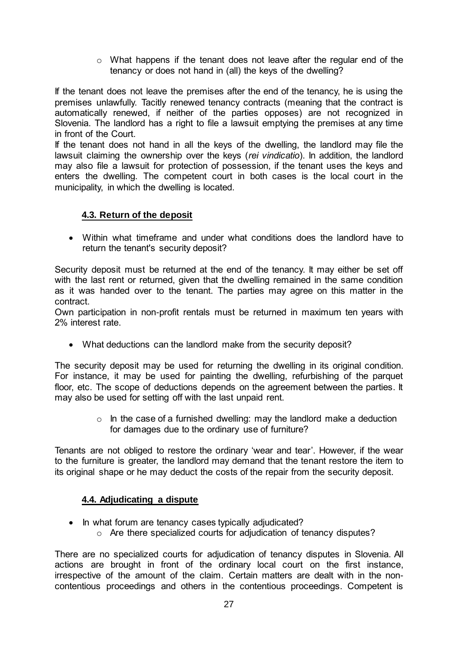$\circ$  What happens if the tenant does not leave after the regular end of the tenancy or does not hand in (all) the keys of the dwelling?

If the tenant does not leave the premises after the end of the tenancy, he is using the premises unlawfully. Tacitly renewed tenancy contracts (meaning that the contract is automatically renewed, if neither of the parties opposes) are not recognized in Slovenia. The landlord has a right to file a lawsuit emptying the premises at any time in front of the Court.

If the tenant does not hand in all the keys of the dwelling, the landlord may file the lawsuit claiming the ownership over the keys (*rei vindicatio*). In addition, the landlord may also file a lawsuit for protection of possession, if the tenant uses the keys and enters the dwelling. The competent court in both cases is the local court in the municipality, in which the dwelling is located.

#### <span id="page-26-0"></span>**4.3. Return of the deposit**

 Within what timeframe and under what conditions does the landlord have to return the tenant's security deposit?

Security deposit must be returned at the end of the tenancy. It may either be set off with the last rent or returned, given that the dwelling remained in the same condition as it was handed over to the tenant. The parties may agree on this matter in the contract.

Own participation in non-profit rentals must be returned in maximum ten years with 2% interest rate.

What deductions can the landlord make from the security deposit?

The security deposit may be used for returning the dwelling in its original condition. For instance, it may be used for painting the dwelling, refurbishing of the parquet floor, etc. The scope of deductions depends on the agreement between the parties. It may also be used for setting off with the last unpaid rent.

> $\circ$  In the case of a furnished dwelling: may the landlord make a deduction for damages due to the ordinary use of furniture?

Tenants are not obliged to restore the ordinary 'wear and tear'. However, if the wear to the furniture is greater, the landlord may demand that the tenant restore the item to its original shape or he may deduct the costs of the repair from the security deposit.

#### <span id="page-26-1"></span>**4.4. Adjudicating a dispute**

- In what forum are tenancy cases typically adjudicated?
	- o Are there specialized courts for adjudication of tenancy disputes?

There are no specialized courts for adjudication of tenancy disputes in Slovenia. All actions are brought in front of the ordinary local court on the first instance, irrespective of the amount of the claim. Certain matters are dealt with in the noncontentious proceedings and others in the contentious proceedings. Competent is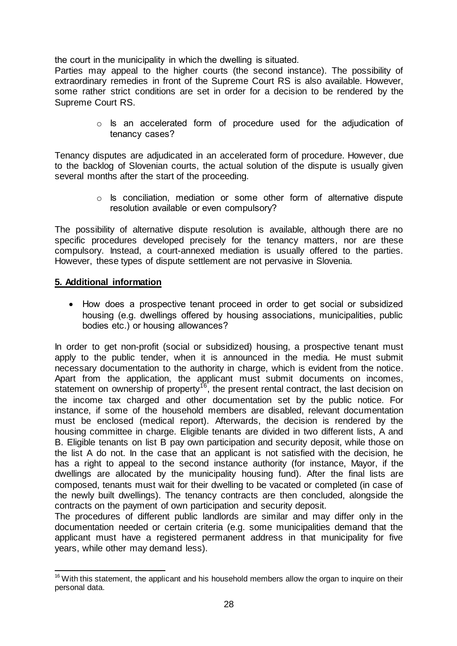the court in the municipality in which the dwelling is situated.

Parties may appeal to the higher courts (the second instance). The possibility of extraordinary remedies in front of the Supreme Court RS is also available. However, some rather strict conditions are set in order for a decision to be rendered by the Supreme Court RS.

> o Is an accelerated form of procedure used for the adjudication of tenancy cases?

Tenancy disputes are adjudicated in an accelerated form of procedure. However, due to the backlog of Slovenian courts, the actual solution of the dispute is usually given several months after the start of the proceeding.

> o Is conciliation, mediation or some other form of alternative dispute resolution available or even compulsory?

The possibility of alternative dispute resolution is available, although there are no specific procedures developed precisely for the tenancy matters, nor are these compulsory. Instead, a court-annexed mediation is usually offered to the parties. However, these types of dispute settlement are not pervasive in Slovenia.

#### <span id="page-27-0"></span>**5. Additional information**

• How does a prospective tenant proceed in order to get social or subsidized housing (e.g. dwellings offered by housing associations, municipalities, public bodies etc.) or housing allowances?

In order to get non-profit (social or subsidized) housing, a prospective tenant must apply to the public tender, when it is announced in the media. He must submit necessary documentation to the authority in charge, which is evident from the notice. Apart from the application, the applicant must submit documents on incomes, statement on ownership of property<sup>16</sup>, the present rental contract, the last decision on the income tax charged and other documentation set by the public notice. For instance, if some of the household members are disabled, relevant documentation must be enclosed (medical report). Afterwards, the decision is rendered by the housing committee in charge. Eligible tenants are divided in two different lists, A and B. Eligible tenants on list B pay own participation and security deposit, while those on the list A do not. In the case that an applicant is not satisfied with the decision, he has a right to appeal to the second instance authority (for instance, Mayor, if the dwellings are allocated by the municipality housing fund). After the final lists are composed, tenants must wait for their dwelling to be vacated or completed (in case of the newly built dwellings). The tenancy contracts are then concluded, alongside the contracts on the payment of own participation and security deposit.

The procedures of different public landlords are similar and may differ only in the documentation needed or certain criteria (e.g. some municipalities demand that the applicant must have a registered permanent address in that municipality for five years, while other may demand less).

<sup>-</sup> $16$  With this statement, the applicant and his household members allow the organ to inquire on their personal data.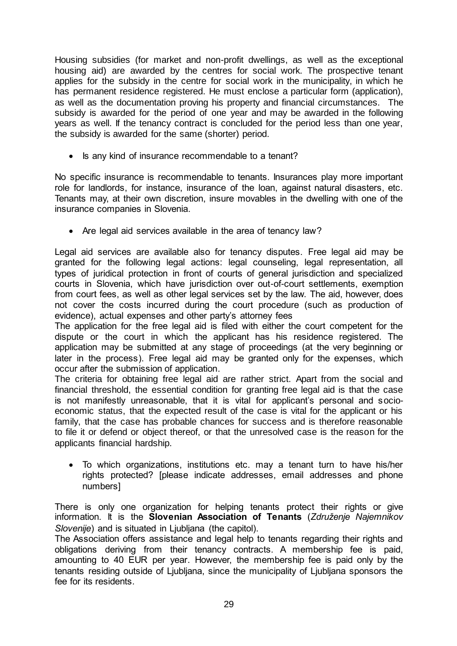Housing subsidies (for market and non-profit dwellings, as well as the exceptional housing aid) are awarded by the centres for social work. The prospective tenant applies for the subsidy in the centre for social work in the municipality, in which he has permanent residence registered. He must enclose a particular form (application), as well as the documentation proving his property and financial circumstances. The subsidy is awarded for the period of one year and may be awarded in the following years as well. If the tenancy contract is concluded for the period less than one year, the subsidy is awarded for the same (shorter) period.

• Is any kind of insurance recommendable to a tenant?

No specific insurance is recommendable to tenants. Insurances play more important role for landlords, for instance, insurance of the loan, against natural disasters, etc. Tenants may, at their own discretion, insure movables in the dwelling with one of the insurance companies in Slovenia.

• Are legal aid services available in the area of tenancy law?

Legal aid services are available also for tenancy disputes. Free legal aid may be granted for the following legal actions: legal counseling, legal representation, all types of juridical protection in front of courts of general jurisdiction and specialized courts in Slovenia, which have jurisdiction over out-of-court settlements, exemption from court fees, as well as other legal services set by the law. The aid, however, does not cover the costs incurred during the court procedure (such as production of evidence), actual expenses and other party's attorney fees

The application for the free legal aid is filed with either the court competent for the dispute or the court in which the applicant has his residence registered. The application may be submitted at any stage of proceedings (at the very beginning or later in the process). Free legal aid may be granted only for the expenses, which occur after the submission of application.

The criteria for obtaining free legal aid are rather strict. Apart from the social and financial threshold, the essential condition for granting free legal aid is that the case is not manifestly unreasonable, that it is vital for applicant's personal and socioeconomic status, that the expected result of the case is vital for the applicant or his family, that the case has probable chances for success and is therefore reasonable to file it or defend or object thereof, or that the unresolved case is the reason for the applicants financial hardship.

 To which organizations, institutions etc. may a tenant turn to have his/her rights protected? [please indicate addresses, email addresses and phone numbers]

There is only one organization for helping tenants protect their rights or give information. It is the **Slovenian Association of Tenants** (*Združenje Najemnikov Slovenije*) and is situated in Ljubljana (the capitol).

The Association offers assistance and legal help to tenants regarding their rights and obligations deriving from their tenancy contracts. A membership fee is paid, amounting to 40 EUR per year. However, the membership fee is paid only by the tenants residing outside of Ljubljana, since the municipality of Ljubljana sponsors the fee for its residents.